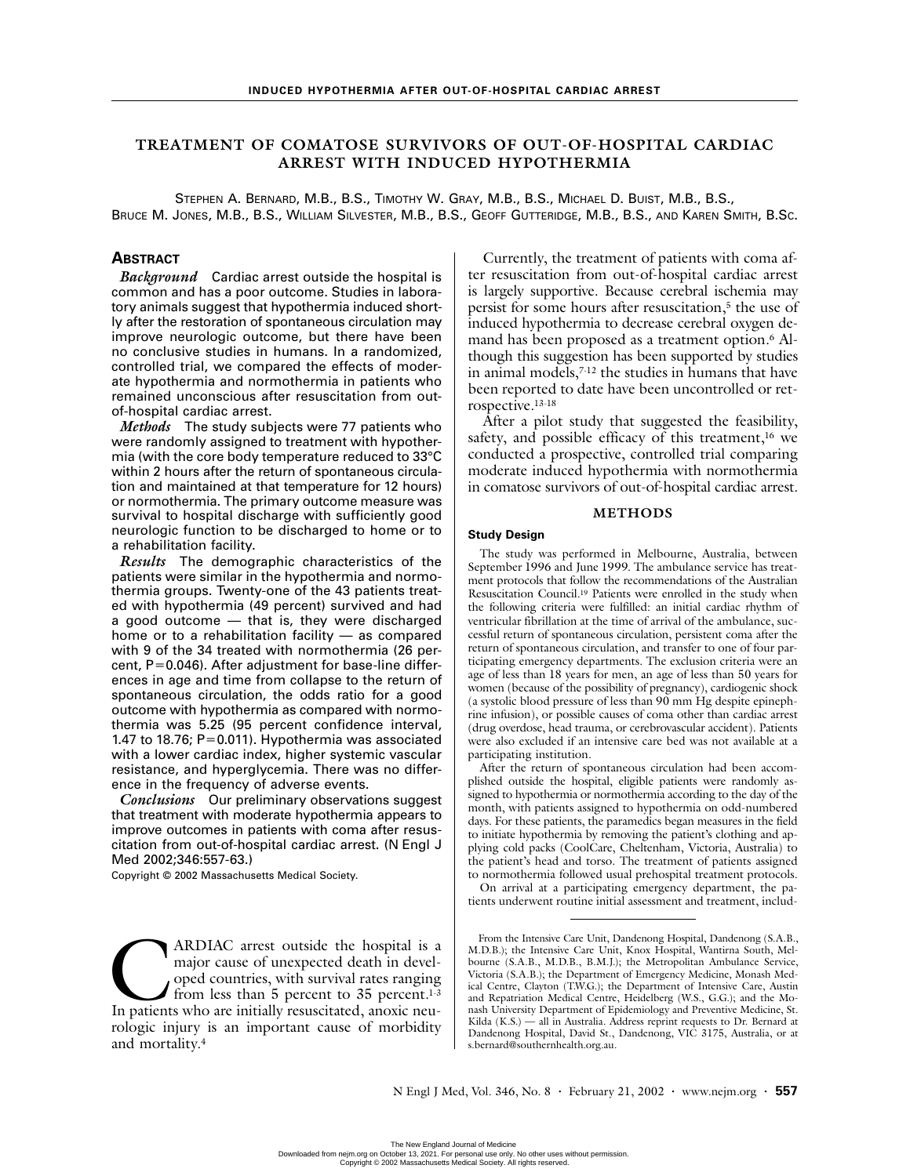# **TREATMENT OF COMATOSE SURVIVORS OF OUT-OF-HOSPITAL CARDIAC ARREST WITH INDUCED HYPOTHERMIA**

STEPHEN A. BERNARD, M.B., B.S., TIMOTHY W. GRAY, M.B., B.S., MICHAEL D. BUIST, M.B., B.S., BRUCE M. JONES, M.B., B.S., WILLIAM SILVESTER, M.B., B.S., GEOFF GUTTERIDGE, M.B., B.S., AND KAREN SMITH, B.SC.

# **ABSTRACT**

*Background* Cardiac arrest outside the hospital is common and has a poor outcome. Studies in laboratory animals suggest that hypothermia induced shortly after the restoration of spontaneous circulation may improve neurologic outcome, but there have been no conclusive studies in humans. In a randomized, controlled trial, we compared the effects of moderate hypothermia and normothermia in patients who remained unconscious after resuscitation from outof-hospital cardiac arrest.

*Methods* The study subjects were 77 patients who were randomly assigned to treatment with hypothermia (with the core body temperature reduced to 33°C within 2 hours after the return of spontaneous circulation and maintained at that temperature for 12 hours) or normothermia. The primary outcome measure was survival to hospital discharge with sufficiently good neurologic function to be discharged to home or to a rehabilitation facility.

*Results* The demographic characteristics of the patients were similar in the hypothermia and normothermia groups. Twenty-one of the 43 patients treated with hypothermia (49 percent) survived and had a good outcome — that is, they were discharged home or to a rehabilitation facility — as compared with 9 of the 34 treated with normothermia (26 percent,  $P=0.046$ ). After adjustment for base-line differences in age and time from collapse to the return of spontaneous circulation, the odds ratio for a good outcome with hypothermia as compared with normothermia was 5.25 (95 percent confidence interval, 1.47 to 18.76; P=0.011). Hypothermia was associated with a lower cardiac index, higher systemic vascular resistance, and hyperglycemia. There was no difference in the frequency of adverse events.

*Conclusions* Our preliminary observations suggest that treatment with moderate hypothermia appears to improve outcomes in patients with coma after resuscitation from out-of-hospital cardiac arrest. (N Engl J Med 2002;346:557-63.)

Copyright © 2002 Massachusetts Medical Society.

ARDIAC arrest outside the hospital is a major cause of unexpected death in developed countries, with survival rates ranging from less than 5 percent to 35 percent.<sup>1-3</sup> ARDIAC arrest outside the hospital is a major cause of unexpected death in developed countries, with survival rates ranging from less than 5 percent to 35 percent.<sup>1-3</sup> In patients who are initially resuscitated, anoxic ne rologic injury is an important cause of morbidity and mortality.4

Currently, the treatment of patients with coma after resuscitation from out-of-hospital cardiac arrest is largely supportive. Because cerebral ischemia may persist for some hours after resuscitation,<sup>5</sup> the use of induced hypothermia to decrease cerebral oxygen demand has been proposed as a treatment option.<sup>6</sup> Although this suggestion has been supported by studies in animal models, $7-12$  the studies in humans that have been reported to date have been uncontrolled or retrospective.13-18

After a pilot study that suggested the feasibility, safety, and possible efficacy of this treatment,<sup>16</sup> we conducted a prospective, controlled trial comparing moderate induced hypothermia with normothermia in comatose survivors of out-of-hospital cardiac arrest.

### **METHODS**

# **Study Design**

The study was performed in Melbourne, Australia, between September 1996 and June 1999. The ambulance service has treatment protocols that follow the recommendations of the Australian Resuscitation Council.19 Patients were enrolled in the study when the following criteria were fulfilled: an initial cardiac rhythm of ventricular fibrillation at the time of arrival of the ambulance, successful return of spontaneous circulation, persistent coma after the return of spontaneous circulation, and transfer to one of four participating emergency departments. The exclusion criteria were an age of less than 18 years for men, an age of less than 50 years for women (because of the possibility of pregnancy), cardiogenic shock (a systolic blood pressure of less than 90 mm Hg despite epinephrine infusion), or possible causes of coma other than cardiac arrest (drug overdose, head trauma, or cerebrovascular accident). Patients were also excluded if an intensive care bed was not available at a participating institution.

After the return of spontaneous circulation had been accomplished outside the hospital, eligible patients were randomly assigned to hypothermia or normothermia according to the day of the month, with patients assigned to hypothermia on odd-numbered days. For these patients, the paramedics began measures in the field to initiate hypothermia by removing the patient's clothing and applying cold packs (CoolCare, Cheltenham, Victoria, Australia) to the patient's head and torso. The treatment of patients assigned to normothermia followed usual prehospital treatment protocols.

On arrival at a participating emergency department, the patients underwent routine initial assessment and treatment, includ-

N Engl J Med, Vol. 346, No. 8 **·** February 21, 2002 **·** www.nejm.org **· 557**

From the Intensive Care Unit, Dandenong Hospital, Dandenong (S.A.B., M.D.B.); the Intensive Care Unit, Knox Hospital, Wantirna South, Melbourne (S.A.B., M.D.B., B.M.J.); the Metropolitan Ambulance Service, Victoria (S.A.B.); the Department of Emergency Medicine, Monash Medical Centre, Clayton (T.W.G.); the Department of Intensive Care, Austin and Repatriation Medical Centre, Heidelberg (W.S., G.G.); and the Monash University Department of Epidemiology and Preventive Medicine, St. Kilda (K.S.) — all in Australia. Address reprint requests to Dr. Bernard at Dandenong Hospital, David St., Dandenong, VIC 3175, Australia, or at s.bernard@southernhealth.org.au.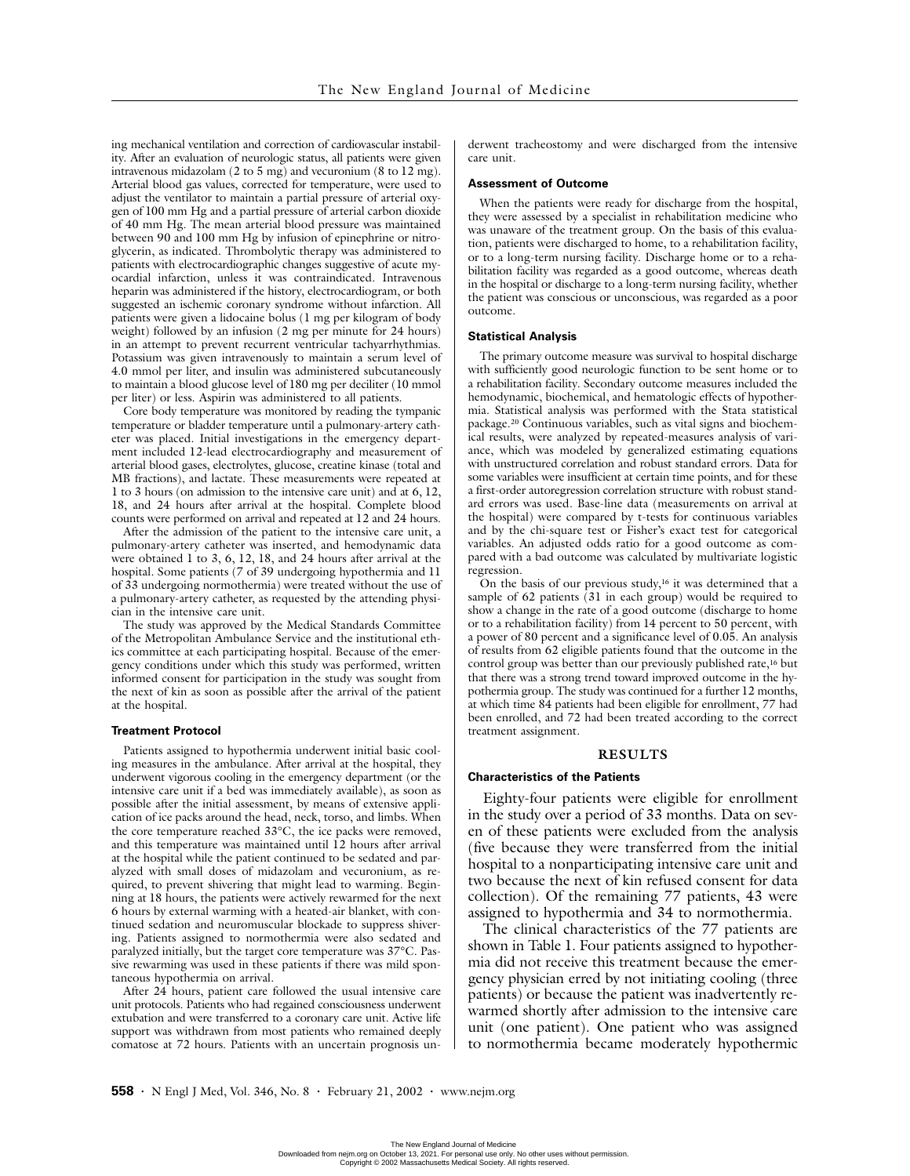ing mechanical ventilation and correction of cardiovascular instability. After an evaluation of neurologic status, all patients were given intravenous midazolam (2 to 5 mg) and vecuronium (8 to 12 mg). Arterial blood gas values, corrected for temperature, were used to adjust the ventilator to maintain a partial pressure of arterial oxygen of 100 mm Hg and a partial pressure of arterial carbon dioxide of 40 mm Hg. The mean arterial blood pressure was maintained between 90 and 100 mm Hg by infusion of epinephrine or nitroglycerin, as indicated. Thrombolytic therapy was administered to patients with electrocardiographic changes suggestive of acute myocardial infarction, unless it was contraindicated. Intravenous heparin was administered if the history, electrocardiogram, or both suggested an ischemic coronary syndrome without infarction. All patients were given a lidocaine bolus (1 mg per kilogram of body weight) followed by an infusion (2 mg per minute for 24 hours) in an attempt to prevent recurrent ventricular tachyarrhythmias. Potassium was given intravenously to maintain a serum level of 4.0 mmol per liter, and insulin was administered subcutaneously to maintain a blood glucose level of 180 mg per deciliter (10 mmol per liter) or less. Aspirin was administered to all patients.

Core body temperature was monitored by reading the tympanic temperature or bladder temperature until a pulmonary-artery catheter was placed. Initial investigations in the emergency department included 12-lead electrocardiography and measurement of arterial blood gases, electrolytes, glucose, creatine kinase (total and MB fractions), and lactate. These measurements were repeated at 1 to 3 hours (on admission to the intensive care unit) and at 6, 12, 18, and 24 hours after arrival at the hospital. Complete blood counts were performed on arrival and repeated at 12 and 24 hours.

After the admission of the patient to the intensive care unit, a pulmonary-artery catheter was inserted, and hemodynamic data were obtained 1 to 3, 6, 12, 18, and 24 hours after arrival at the hospital. Some patients (7 of 39 undergoing hypothermia and 11 of 33 undergoing normothermia) were treated without the use of a pulmonary-artery catheter, as requested by the attending physician in the intensive care unit.

The study was approved by the Medical Standards Committee of the Metropolitan Ambulance Service and the institutional ethics committee at each participating hospital. Because of the emergency conditions under which this study was performed, written informed consent for participation in the study was sought from the next of kin as soon as possible after the arrival of the patient at the hospital.

#### **Treatment Protocol**

Patients assigned to hypothermia underwent initial basic cooling measures in the ambulance. After arrival at the hospital, they underwent vigorous cooling in the emergency department (or the intensive care unit if a bed was immediately available), as soon as possible after the initial assessment, by means of extensive application of ice packs around the head, neck, torso, and limbs. When the core temperature reached 33°C, the ice packs were removed, and this temperature was maintained until 12 hours after arrival at the hospital while the patient continued to be sedated and paralyzed with small doses of midazolam and vecuronium, as required, to prevent shivering that might lead to warming. Beginning at 18 hours, the patients were actively rewarmed for the next 6 hours by external warming with a heated-air blanket, with continued sedation and neuromuscular blockade to suppress shivering. Patients assigned to normothermia were also sedated and paralyzed initially, but the target core temperature was 37°C. Passive rewarming was used in these patients if there was mild spontaneous hypothermia on arrival.

After 24 hours, patient care followed the usual intensive care unit protocols. Patients who had regained consciousness underwent extubation and were transferred to a coronary care unit. Active life support was withdrawn from most patients who remained deeply comatose at 72 hours. Patients with an uncertain prognosis underwent tracheostomy and were discharged from the intensive care unit.

#### **Assessment of Outcome**

When the patients were ready for discharge from the hospital, they were assessed by a specialist in rehabilitation medicine who was unaware of the treatment group. On the basis of this evaluation, patients were discharged to home, to a rehabilitation facility, or to a long-term nursing facility. Discharge home or to a rehabilitation facility was regarded as a good outcome, whereas death in the hospital or discharge to a long-term nursing facility, whether the patient was conscious or unconscious, was regarded as a poor outcome.

### **Statistical Analysis**

The primary outcome measure was survival to hospital discharge with sufficiently good neurologic function to be sent home or to a rehabilitation facility. Secondary outcome measures included the hemodynamic, biochemical, and hematologic effects of hypothermia. Statistical analysis was performed with the Stata statistical package.20 Continuous variables, such as vital signs and biochemical results, were analyzed by repeated-measures analysis of variance, which was modeled by generalized estimating equations with unstructured correlation and robust standard errors. Data for some variables were insufficient at certain time points, and for these a first-order autoregression correlation structure with robust standard errors was used. Base-line data (measurements on arrival at the hospital) were compared by t-tests for continuous variables and by the chi-square test or Fisher's exact test for categorical variables. An adjusted odds ratio for a good outcome as compared with a bad outcome was calculated by multivariate logistic regression.

On the basis of our previous study,<sup>16</sup> it was determined that a sample of 62 patients (31 in each group) would be required to show a change in the rate of a good outcome (discharge to home or to a rehabilitation facility) from 14 percent to 50 percent, with a power of 80 percent and a significance level of 0.05. An analysis of results from 62 eligible patients found that the outcome in the control group was better than our previously published rate,<sup>16</sup> but that there was a strong trend toward improved outcome in the hypothermia group. The study was continued for a further 12 months, at which time 84 patients had been eligible for enrollment, 77 had been enrolled, and 72 had been treated according to the correct treatment assignment.

### **RESULTS**

#### **Characteristics of the Patients**

Eighty-four patients were eligible for enrollment in the study over a period of 33 months. Data on seven of these patients were excluded from the analysis (five because they were transferred from the initial hospital to a nonparticipating intensive care unit and two because the next of kin refused consent for data collection). Of the remaining 77 patients, 43 were assigned to hypothermia and 34 to normothermia.

The clinical characteristics of the 77 patients are shown in Table 1. Four patients assigned to hypothermia did not receive this treatment because the emergency physician erred by not initiating cooling (three patients) or because the patient was inadvertently rewarmed shortly after admission to the intensive care unit (one patient). One patient who was assigned to normothermia became moderately hypothermic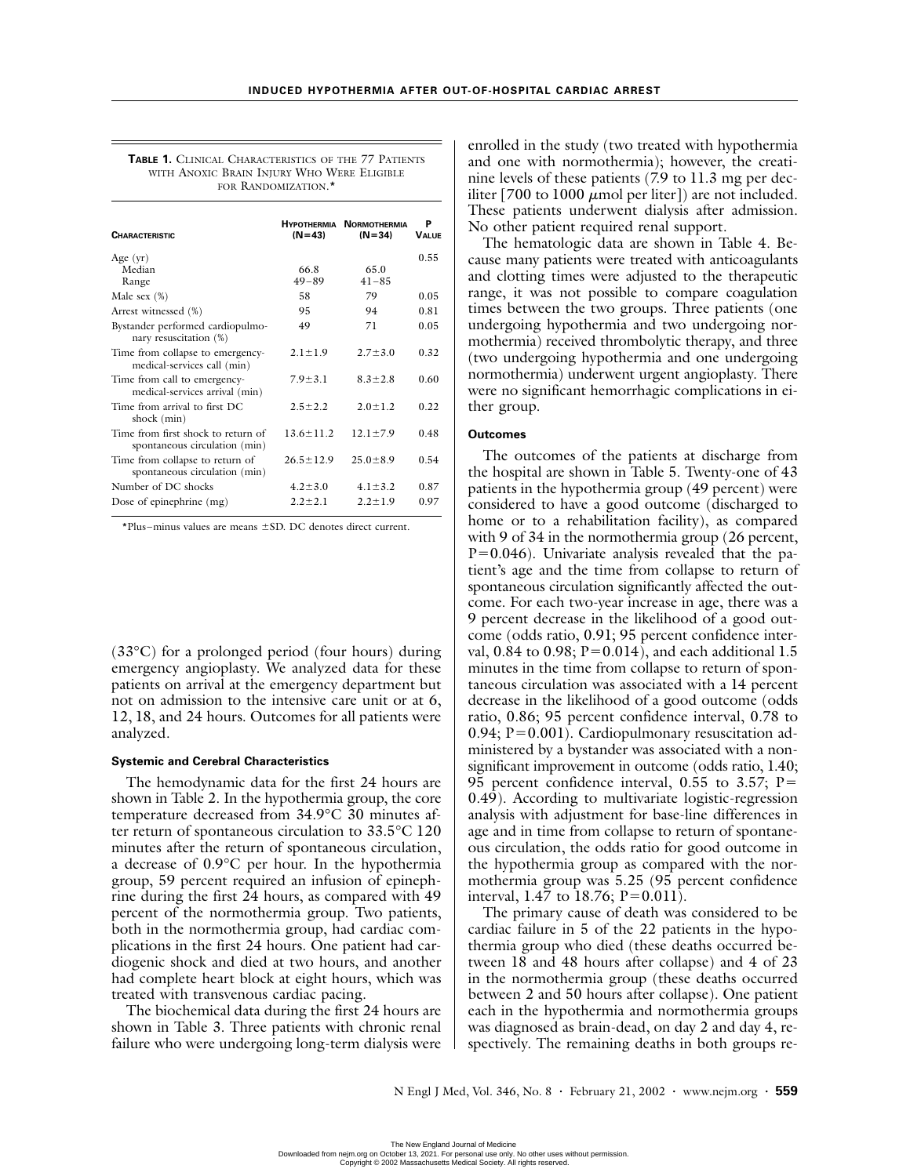**TABLE 1.** CLINICAL CHARACTERISTICS OF THE 77 PATIENTS WITH ANOXIC BRAIN INJURY WHO WERE ELIGIBLE FOR RANDOMIZATION.\*

| <b>CHARACTERISTIC</b>                                               | <b>HYPOTHERMIA</b><br>$(N = 43)$ | <b>NORMOTHERMIA</b><br>$(N = 34)$ | P<br><b>VALUE</b> |
|---------------------------------------------------------------------|----------------------------------|-----------------------------------|-------------------|
| Age $(yr)$                                                          |                                  |                                   | 0.55              |
| Median                                                              | 66.8                             | 65.0                              |                   |
| Range                                                               | $49 - 89$                        | $41 - 85$                         |                   |
| Male sex $(\%)$                                                     | 58                               | 79                                | 0.05              |
| Arrest witnessed (%)                                                | 95                               | 94                                | 0.81              |
| Bystander performed cardiopulmo-<br>nary resuscitation (%)          | 49                               | 71                                | 0.05              |
| Time from collapse to emergency-<br>medical-services call (min)     | $2.1 \pm 1.9$                    | $2.7 \pm 3.0$                     | 0.32              |
| Time from call to emergency-<br>medical-services arrival (min)      | $7.9 \pm 3.1$                    | $8.3 + 2.8$                       | 0.60              |
| Time from arrival to first DC<br>shock (min)                        | $2.5 \pm 2.2$                    | $2.0 \pm 1.2$                     | 0.22              |
| Time from first shock to return of<br>spontaneous circulation (min) | $13.6 \pm 11.2$                  | $12.1 \pm 7.9$                    | 0.48              |
| Time from collapse to return of<br>spontaneous circulation (min)    | $26.5 \pm 12.9$                  | $25.0 \pm 8.9$                    | 0.54              |
| Number of DC shocks                                                 | $4.2 \pm 3.0$                    | $4.1 \pm 3.2$                     | 0.87              |
| Dose of epinephrine (mg)                                            | $2.2 \pm 2.1$                    | $2.2 \pm 1.9$                     | 0.97              |

\*Plus–minus values are means ±SD. DC denotes direct current.

(33°C) for a prolonged period (four hours) during emergency angioplasty. We analyzed data for these patients on arrival at the emergency department but not on admission to the intensive care unit or at 6, 12, 18, and 24 hours. Outcomes for all patients were analyzed.

### **Systemic and Cerebral Characteristics**

The hemodynamic data for the first 24 hours are shown in Table 2. In the hypothermia group, the core temperature decreased from 34.9°C 30 minutes after return of spontaneous circulation to 33.5°C 120 minutes after the return of spontaneous circulation, a decrease of 0.9°C per hour. In the hypothermia group, 59 percent required an infusion of epinephrine during the first 24 hours, as compared with 49 percent of the normothermia group. Two patients, both in the normothermia group, had cardiac complications in the first 24 hours. One patient had cardiogenic shock and died at two hours, and another had complete heart block at eight hours, which was treated with transvenous cardiac pacing.

The biochemical data during the first 24 hours are shown in Table 3. Three patients with chronic renal failure who were undergoing long-term dialysis were enrolled in the study (two treated with hypothermia and one with normothermia); however, the creatinine levels of these patients (7.9 to 11.3 mg per deciliter [700 to 1000  $\mu$ mol per liter]) are not included. These patients underwent dialysis after admission. No other patient required renal support.

The hematologic data are shown in Table 4. Because many patients were treated with anticoagulants and clotting times were adjusted to the therapeutic range, it was not possible to compare coagulation times between the two groups. Three patients (one undergoing hypothermia and two undergoing normothermia) received thrombolytic therapy, and three (two undergoing hypothermia and one undergoing normothermia) underwent urgent angioplasty. There were no significant hemorrhagic complications in either group.

### **Outcomes**

The outcomes of the patients at discharge from the hospital are shown in Table 5. Twenty-one of 43 patients in the hypothermia group (49 percent) were considered to have a good outcome (discharged to home or to a rehabilitation facility), as compared with 9 of 34 in the normothermia group (26 percent, P=0.046). Univariate analysis revealed that the patient's age and the time from collapse to return of spontaneous circulation significantly affected the outcome. For each two-year increase in age, there was a 9 percent decrease in the likelihood of a good outcome (odds ratio, 0.91; 95 percent confidence interval, 0.84 to 0.98;  $P = 0.014$ , and each additional 1.5 minutes in the time from collapse to return of spontaneous circulation was associated with a 14 percent decrease in the likelihood of a good outcome (odds ratio, 0.86; 95 percent confidence interval, 0.78 to 0.94; P=0.001). Cardiopulmonary resuscitation administered by a bystander was associated with a nonsignificant improvement in outcome (odds ratio, 1.40; 95 percent confidence interval, 0.55 to 3.57; P= 0.49). According to multivariate logistic-regression analysis with adjustment for base-line differences in age and in time from collapse to return of spontaneous circulation, the odds ratio for good outcome in the hypothermia group as compared with the normothermia group was 5.25 (95 percent confidence interval, 1.47 to 18.76; P=0.011).

The primary cause of death was considered to be cardiac failure in 5 of the 22 patients in the hypothermia group who died (these deaths occurred between 18 and 48 hours after collapse) and 4 of 23 in the normothermia group (these deaths occurred between 2 and 50 hours after collapse). One patient each in the hypothermia and normothermia groups was diagnosed as brain-dead, on day 2 and day 4, respectively. The remaining deaths in both groups re-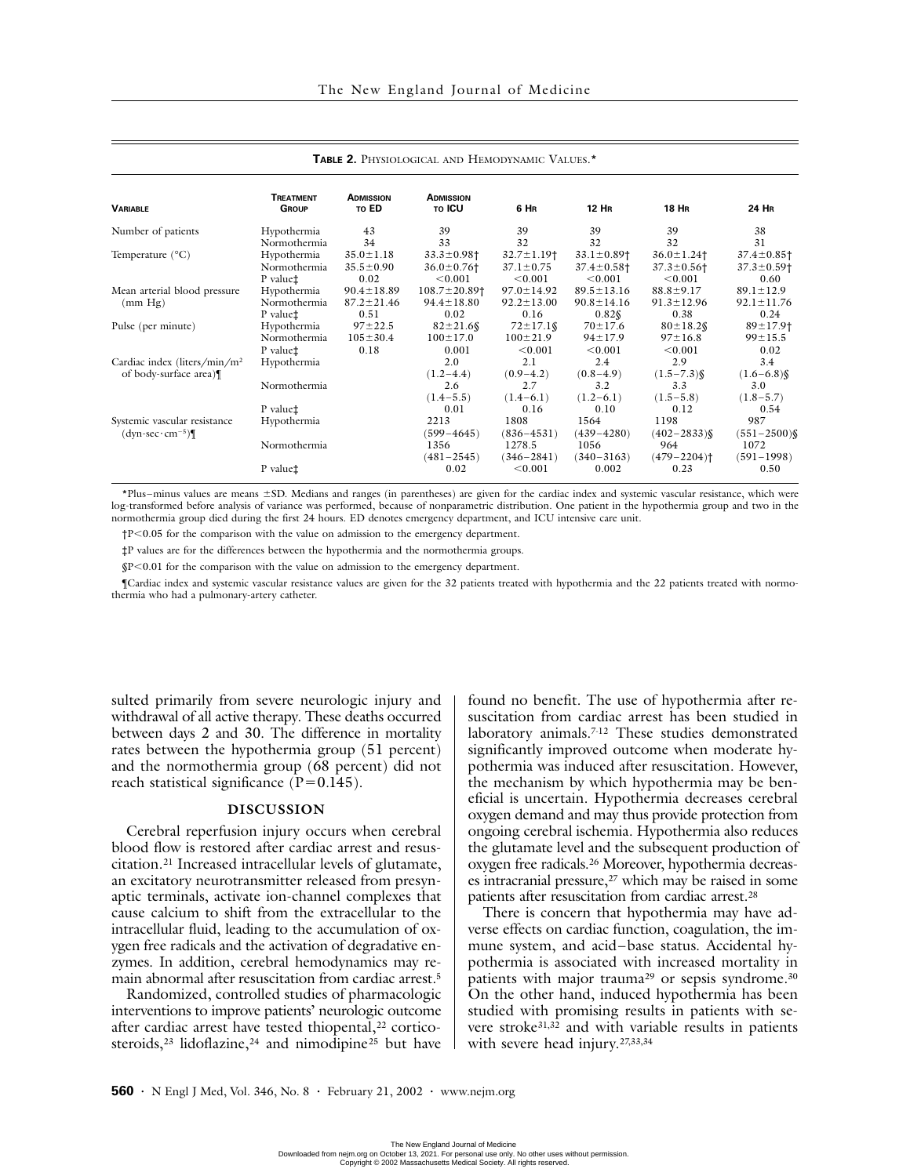| <b>VARIABLE</b>                                                 | <b>TREATMENT</b><br><b>GROUP</b>    | <b>ADMISSION</b><br>TO ED | <b>ADMISSION</b><br><b>TO ICU</b> | 6 HR                         | <b>12 HR</b>                 | 18 HR                        | 24 HR                        |
|-----------------------------------------------------------------|-------------------------------------|---------------------------|-----------------------------------|------------------------------|------------------------------|------------------------------|------------------------------|
| Number of patients                                              | Hypothermia                         | 43                        | 39                                | 39                           | 39                           | 39                           | 38                           |
|                                                                 | Normothermia                        | 34                        | 33                                | 32                           | 32                           | 32                           | 31                           |
| Temperature $(^{\circ}C)$                                       | Hypothermia                         | $35.0 \pm 1.18$           | $33.3 \pm 0.98$ <sup>+</sup>      | $32.7 \pm 1.19$ <sup>+</sup> | $33.1 \pm 0.89$ <sup>+</sup> | $36.0 \pm 1.24$              | $37.4 \pm 0.85$ <sup>+</sup> |
|                                                                 | Normothermia                        | $35.5 \pm 0.90$           | $36.0 \pm 0.76$                   | $37.1 \pm 0.75$              | $37.4 \pm 0.58$ <sup>+</sup> | $37.3 \pm 0.56$ <sup>+</sup> | $37.3 \pm 0.59$ <sup>+</sup> |
|                                                                 | P value <sup>±</sup>                | 0.02                      | < 0.001                           | < 0.001                      | < 0.001                      | < 0.001                      | 0.60                         |
| Mean arterial blood pressure                                    | Hypothermia                         | $90.4 \pm 18.89$          | $108.7 \pm 20.89$ <sup>+</sup>    | $97.0 \pm 14.92$             | $89.5 \pm 13.16$             | $88.8 \pm 9.17$              | $89.1 \pm 12.9$              |
| (mm Hg)                                                         | Normothermia                        | $87.2 \pm 21.46$          | $94.4 \pm 18.80$                  | $92.2 \pm 13.00$             | $90.8 \pm 14.16$             | $91.3 \pm 12.96$             | $92.1 \pm 11.76$             |
|                                                                 | P value <sup><math>\pm</math></sup> | 0.51                      | 0.02                              | 0.16                         | $0.82$ \$                    | 0.38                         | 0.24                         |
| Pulse (per minute)                                              | Hypothermia                         | $97 + 22.5$               | $82 \pm 21.6$                     | $72 \pm 17.1$ \$             | $70 \pm 17.6$                | $80 \pm 18.2$                | $89 \pm 17.9$ <sup>+</sup>   |
|                                                                 | Normothermia                        | $105 \pm 30.4$            | $100 \pm 17.0$                    | $100 \pm 21.9$               | $94 \pm 17.9$                | $97 \pm 16.8$                | $99 \pm 15.5$                |
|                                                                 | P value <sup>±</sup>                | 0.18                      | 0.001                             | < 0.001                      | < 0.001                      | < 0.001                      | 0.02                         |
| Cardiac index (liters/min/m <sup>2</sup>                        | Hypothermia                         |                           | 2.0                               | 2.1                          | 2.4                          | 2.9                          | 3.4                          |
| of body-surface area)                                           |                                     |                           | $(1.2 - 4.4)$                     | $(0.9-4.2)$                  | $(0.8-4.9)$                  | $(1.5 - 7.3)$ §              | $(1.6 - 6.8)$ §              |
|                                                                 | Normothermia                        |                           | 2.6                               | 2.7                          | 3.2                          | 3.3                          | 3.0                          |
|                                                                 |                                     |                           | $(1.4 - 5.5)$                     | $(1.4-6.1)$                  | $(1.2-6.1)$                  | $(1.5-5.8)$                  | $(1.8 - 5.7)$                |
|                                                                 | P value <sup>±</sup>                |                           | 0.01                              | 0.16                         | 0.10                         | 0.12                         | 0.54                         |
| Systemic vascular resistance<br>$(dyn\text{-}sec\cdot cm^{-5})$ | Hypothermia                         |                           | 2213                              | 1808                         | 1564                         | 1198                         | 987                          |
|                                                                 |                                     |                           | (599–4645)                        | $(836 - 4531)$               | $(439 - 4280)$               | $(402 - 2833)$ §             | (551–2500)§                  |
|                                                                 | Normothermia                        |                           | 1356                              | 1278.5                       | 1056                         | 964                          | 1072                         |
|                                                                 |                                     |                           | $(481 - 2545)$                    | $(346 - 2841)$               | $(340 - 3163)$               | $(479 - 2204)$ <sup>+</sup>  | $(591 - 1998)$               |
|                                                                 | P value <sup><math>\pm</math></sup> |                           | 0.02                              | < 0.001                      | 0.002                        | 0.23                         | 0.50                         |

#### **TABLE 2.** PHYSIOLOGICAL AND HEMODYNAMIC VALUES.\*

\*Plus–minus values are means ±SD. Medians and ranges (in parentheses) are given for the cardiac index and systemic vascular resistance, which were log-transformed before analysis of variance was performed, because of nonparametric distribution. One patient in the hypothermia group and two in the normothermia group died during the first 24 hours. ED denotes emergency department, and ICU intensive care unit.

†P<0.05 for the comparison with the value on admission to the emergency department.

‡P values are for the differences between the hypothermia and the normothermia groups.

§P<0.01 for the comparison with the value on admission to the emergency department.

¶Cardiac index and systemic vascular resistance values are given for the 32 patients treated with hypothermia and the 22 patients treated with normothermia who had a pulmonary-artery catheter.

sulted primarily from severe neurologic injury and withdrawal of all active therapy. These deaths occurred between days 2 and 30. The difference in mortality rates between the hypothermia group (51 percent) and the normothermia group (68 percent) did not reach statistical significance  $(P=0.145)$ .

# **DISCUSSION**

Cerebral reperfusion injury occurs when cerebral blood flow is restored after cardiac arrest and resuscitation.21 Increased intracellular levels of glutamate, an excitatory neurotransmitter released from presynaptic terminals, activate ion-channel complexes that cause calcium to shift from the extracellular to the intracellular fluid, leading to the accumulation of oxygen free radicals and the activation of degradative enzymes. In addition, cerebral hemodynamics may remain abnormal after resuscitation from cardiac arrest.5

Randomized, controlled studies of pharmacologic interventions to improve patients' neurologic outcome after cardiac arrest have tested thiopental,<sup>22</sup> corticosteroids,<sup>23</sup> lidoflazine,<sup>24</sup> and nimodipine<sup>25</sup> but have

found no benefit. The use of hypothermia after resuscitation from cardiac arrest has been studied in laboratory animals.7-12 These studies demonstrated significantly improved outcome when moderate hypothermia was induced after resuscitation. However, the mechanism by which hypothermia may be beneficial is uncertain. Hypothermia decreases cerebral oxygen demand and may thus provide protection from ongoing cerebral ischemia. Hypothermia also reduces the glutamate level and the subsequent production of oxygen free radicals.26 Moreover, hypothermia decreases intracranial pressure,<sup>27</sup> which may be raised in some patients after resuscitation from cardiac arrest.28

There is concern that hypothermia may have adverse effects on cardiac function, coagulation, the immune system, and acid–base status. Accidental hypothermia is associated with increased mortality in patients with major trauma<sup>29</sup> or sepsis syndrome.<sup>30</sup> On the other hand, induced hypothermia has been studied with promising results in patients with severe stroke<sup>31,32</sup> and with variable results in patients with severe head injury.27,33,34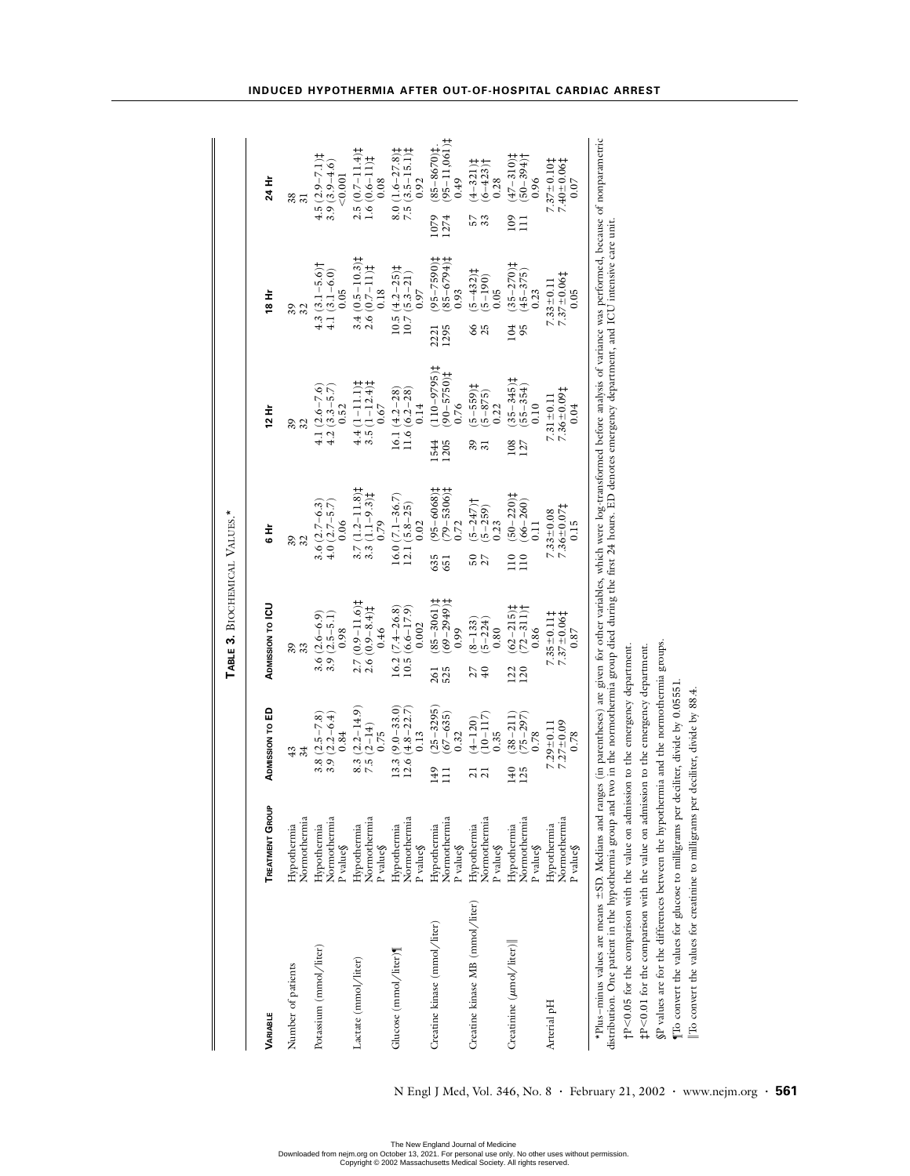| VARIABLE                                                                                                                                                                   | <b>TREATMENT GROUP</b>                   | ADMISSION TO ED                                                     | ADMISSION TO ICU                                                    | 古<br>6                                                         | 12 Hr                                                                                                                                                                                                                                                                             | 18 Hr                                                                               | 24 Hr                                                                           |
|----------------------------------------------------------------------------------------------------------------------------------------------------------------------------|------------------------------------------|---------------------------------------------------------------------|---------------------------------------------------------------------|----------------------------------------------------------------|-----------------------------------------------------------------------------------------------------------------------------------------------------------------------------------------------------------------------------------------------------------------------------------|-------------------------------------------------------------------------------------|---------------------------------------------------------------------------------|
| Number of patients                                                                                                                                                         | Normothermia<br>Hypothermia              | 34<br>43                                                            | 33<br>$\mathcal{S}^{\mathcal{S}}$                                   | $\overline{32}$<br>39                                          | 32<br>39                                                                                                                                                                                                                                                                          | 39<br>$\overline{32}$                                                               | $\frac{38}{31}$                                                                 |
| Potassium (mmol/liter)                                                                                                                                                     | Normothermia<br>Hypothermia<br>P value\$ | 3.9 $(2.2-6.4)$<br>$3.8(2.5 - 7.8)$<br>0.84                         | $3.6(2.6-6.9)$<br>$3.9(2.5-5.1)$<br>0.98                            | $3.6(2.7-6.3)$<br>4.0 $(2.7 - 5.7)$<br>0.06                    | 4.1 $(2.6 - 7.6)$<br>$4.2(3.3 - 5.7)$<br>0.52                                                                                                                                                                                                                                     | 4.3 $(3.1 - 5.6)$ <sup>†</sup><br>4.1 $(3.1 - 6.0)$<br>0.05                         | $4.5(2.9 - 7.1)$ #<br>3.9 (3.9-4.6)<br>< 0.001                                  |
| Lactate (mmol/liter)                                                                                                                                                       | Normothermia<br>Hypothermia<br>P value\$ | $8.3(2.2 - 14.9)$<br>$7.5(2 - 14)$<br>0.75                          | $2.7(0.9 - 11.6)$<br>$2.6(0.9 - 8.4)$ ‡<br>0.46                     | $3.7(1.2 - 11.8)$ #<br>$1.1 - 9.3$<br>67.0<br>$3.\overline{3}$ | $4.4(1-11.1)$ #<br>3.5 $(1-12.4)$ #<br>$0.67$                                                                                                                                                                                                                                     | $3.4(0.5 - 10.3)$ ‡<br>$2.6(0.7 - 11)t$<br>0.18                                     | $2.5(0.7 - 11.4)$<br>$1.6(0.6 - 11)$ ‡<br>0.08                                  |
| Glucose (mmol/liter)                                                                                                                                                       | Normothermia<br>Hypothermia<br>P value§  | $13.3(9.0 - 33.0)$<br>$(4.8 - 22.7)$<br>0.13<br>12.6(               | $16.2 (7.4-26.8)$<br>$10.5 (6.6-17.9)$<br>0.002                     | $16.0(7.1-36.7)$<br>$12.1(5.8-25)$<br>0.02                     | $16.1(4.2-28)$<br>$11.6(6.2 - 28)$<br>0.14                                                                                                                                                                                                                                        | $10.5(4.2 - 25)$ ‡<br>$(5.3 - 21)$<br>0.97<br>10.7                                  | $\begin{array}{c} 8.0 \ (1.6 - 27.8) \\ 7.5 \ (3.5 - 15.1) \end{array}$<br>0.92 |
| Creatine kinase (mmol/liter)                                                                                                                                               | Normothermia<br>Hypothermia<br>P value\$ | $25 - 3295$<br>$67 - 635$<br>0.32<br>149<br>$\Xi$                   | $(85 - 3061)$ #<br>$(69 - 2949)$<br>0.99<br>261<br>525              | $95 - 6068$<br>$79 - 5306$ $\ddagger$<br>0.72<br>635<br>651    | $(110 - 9795)$ ‡<br>(0.5750)<br>0.76<br>544<br>1205                                                                                                                                                                                                                               | $\begin{array}{c} 166629 - 98 \\ + (9652 - 96) \end{array}$<br>0.93<br>2221<br>1295 | $95 - 11,061$<br>$(85 - 8670)$<br>64.0<br>1079<br>1274                          |
| Creatine kinase MB (mmol/liter)                                                                                                                                            | Normothermia<br>Hypothermia<br>P value\$ | $10 - 117$<br>$4 - 120$<br>0.35<br>$\overline{z}$<br>$\overline{a}$ | $8 - 133$<br>$5 - 224$<br>0.80<br>$\overline{40}$<br>$\overline{z}$ | $(5-247)$ <sup>†</sup><br>$(5-259)$<br>0.23<br>$\frac{50}{27}$ | $1(659 - 2)$<br>$5 - 875$<br>0.22<br>$\frac{3}{3}$                                                                                                                                                                                                                                | $(5 - 432)$ ‡<br>$5 - 190$<br>0.05<br>$66$<br>25                                    | $(4 - 321)$ ‡<br>$6 - 423$<br>0.28<br>33<br>25                                  |
| Creatinine (umol/liter)                                                                                                                                                    | Normothermia<br>Hypothermia<br>P value\$ | $38 - 211$<br>$75 - 297$<br>0.78<br>140<br>125                      | $(62 - 215)$ #<br>$(72 - 311)$<br>0.86<br>120<br>122                | $50 - 220$ ;<br>$(66 - 260)$<br>0.11<br>110<br>110             | $(35 - 345)$ <sup>‡</sup><br>$(55 - 354)$<br>0.10<br>108                                                                                                                                                                                                                          | $(35 - 270)$ ‡<br>$45 - 375$<br>0.23<br>104<br>95                                   | $(47 - 310)$ ‡<br>$(50 - 394)$<br>0.96<br>109<br>$\Xi$                          |
| Arterial pH                                                                                                                                                                | Normothermia<br>Hypothermia<br>P value§  | $7.27 \pm 0.09$<br>$7.29 \pm 0.11$<br>0.78                          | $7.35 \pm 0.11$<br>$7.37 \pm 0.061$<br>0.87                         | $7.36 \pm 0.07$ ‡<br>$7.33 + 0.08$<br>0.15                     | $7.36 \pm 0.09$ ‡<br>$7.31 \pm 0.11$<br>0.04                                                                                                                                                                                                                                      | $7.37 \pm 0.06$ ‡<br>$7.33 \pm 0.11$<br>0.05                                        | $7.37 \pm 0.10$ ‡<br>$7.40 \pm 0.061$<br>0.07                                   |
| *Plus-minus values are means $\pm$ SD. Medians and ran<br>distribution. One patient in the hypothermia group and                                                           |                                          |                                                                     |                                                                     |                                                                | ges (in parentheses) are given for other variables, which were log-transformed before analysis of variance was performed, because of nonparametric<br>two in the normothermia group died during the first 24 hours. ED denotes emergency department, and ICU intensive care unit. |                                                                                     |                                                                                 |
| ‡P<0.01 for the comparison with the value on admission to the emergency department.<br>†P<0.05 for the comparison with the value on admission to the emergency department. |                                          |                                                                     |                                                                     |                                                                |                                                                                                                                                                                                                                                                                   |                                                                                     |                                                                                 |
| §P values are for the differences between the hypothermia and the normothermia groups.<br>To convert the values for glucose to milligrams per deciliter, divide by 0.05551 |                                          |                                                                     |                                                                     |                                                                |                                                                                                                                                                                                                                                                                   |                                                                                     |                                                                                 |
| To convert the values for creatinine to milligrams per                                                                                                                     |                                          | r deciliter, divide by 88.4                                         |                                                                     |                                                                |                                                                                                                                                                                                                                                                                   |                                                                                     |                                                                                 |
|                                                                                                                                                                            |                                          |                                                                     |                                                                     |                                                                |                                                                                                                                                                                                                                                                                   |                                                                                     |                                                                                 |

 $\overline{\phantom{a}}$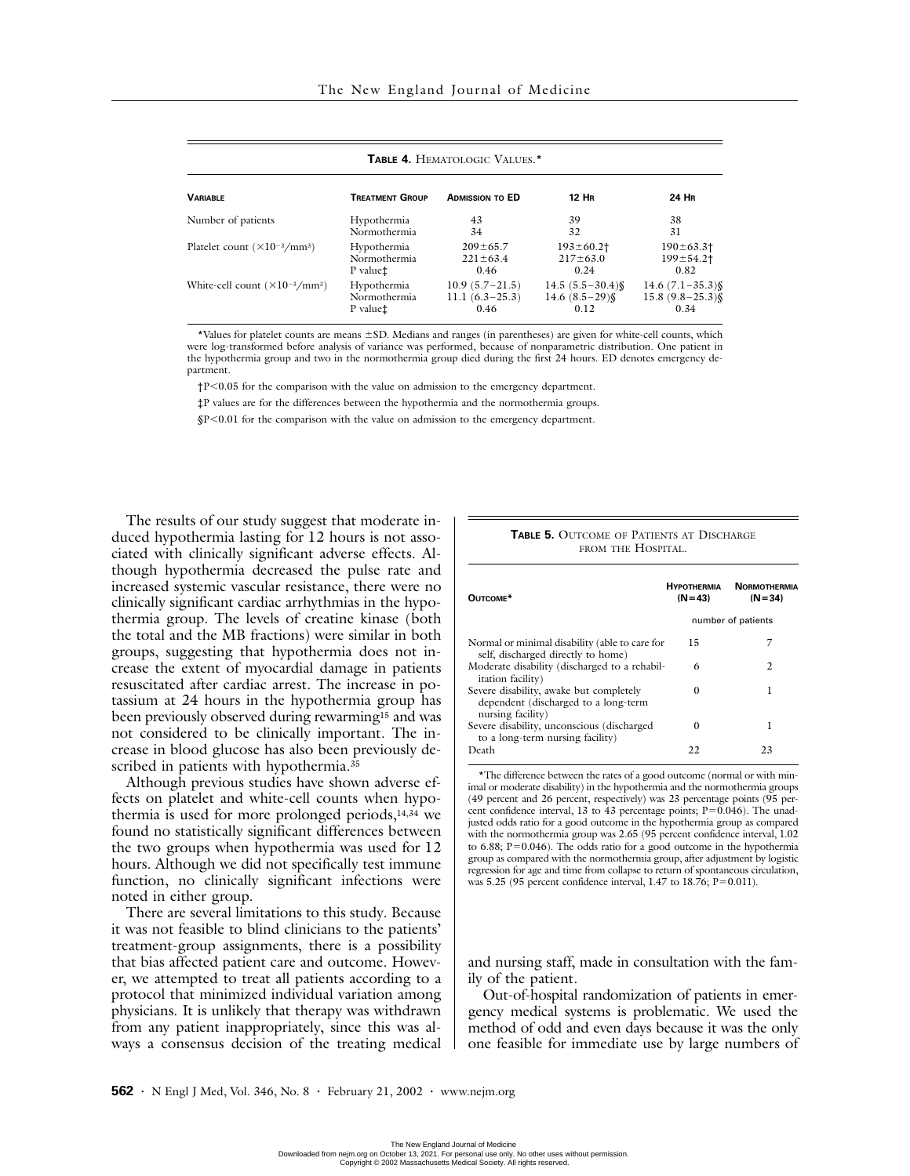| <b>TABLE 4. HEMATOLOGIC VALUES.*</b>            |                                     |                        |                   |                             |  |  |
|-------------------------------------------------|-------------------------------------|------------------------|-------------------|-----------------------------|--|--|
| <b><i>VARIABLE</i></b>                          | <b>TREATMENT GROUP</b>              | <b>ADMISSION TO ED</b> | 12 HR             | 24 HR                       |  |  |
| Number of patients                              | Hypothermia                         | 43                     | 39                | 38                          |  |  |
|                                                 | Normothermia                        | 34                     | 32                | 31                          |  |  |
| Platelet count $(\times 10^{-3}/\text{mm}^3)$   | Hypothermia                         | $209 \pm 65.7$         | $193 \pm 60.2$ †  | $190 \pm 63.3$ <sup>+</sup> |  |  |
|                                                 | Normothermia                        | $221 \pm 63.4$         | $217 \pm 63.0$    | $199 + 54.2$ †              |  |  |
|                                                 | P value <sup><math>\pm</math></sup> | 0.46                   | 0.24              | 0.82                        |  |  |
| White-cell count $(\times 10^{-3}/\text{mm}^3)$ | Hypothermia                         | $10.9(5.7-21.5)$       | $14.5(5.5-30.4)\$ | 14.6 $(7.1-35.3)\$          |  |  |
|                                                 | Normothermia                        | $11.1(6.3-25.3)$       | 14.6 $(8.5-29)$ § | $15.8(9.8-25.3)$ §          |  |  |
|                                                 | P value <sup><math>\pm</math></sup> | 0.46                   | 0.12              | 0.34                        |  |  |

\*Values for platelet counts are means ±SD. Medians and ranges (in parentheses) are given for white-cell counts, which were log-transformed before analysis of variance was performed, because of nonparametric distribution. One patient in the hypothermia group and two in the normothermia group died during the first 24 hours. ED denotes emergency department.

†P<0.05 for the comparison with the value on admission to the emergency department.

‡P values are for the differences between the hypothermia and the normothermia groups.

§P<0.01 for the comparison with the value on admission to the emergency department.

The results of our study suggest that moderate induced hypothermia lasting for 12 hours is not associated with clinically significant adverse effects. Although hypothermia decreased the pulse rate and increased systemic vascular resistance, there were no clinically significant cardiac arrhythmias in the hypothermia group. The levels of creatine kinase (both the total and the MB fractions) were similar in both groups, suggesting that hypothermia does not increase the extent of myocardial damage in patients resuscitated after cardiac arrest. The increase in potassium at 24 hours in the hypothermia group has been previously observed during rewarming15 and was not considered to be clinically important. The increase in blood glucose has also been previously described in patients with hypothermia.35

Although previous studies have shown adverse effects on platelet and white-cell counts when hypothermia is used for more prolonged periods,14,34 we found no statistically significant differences between the two groups when hypothermia was used for 12 hours. Although we did not specifically test immune function, no clinically significant infections were noted in either group.

There are several limitations to this study. Because it was not feasible to blind clinicians to the patients' treatment-group assignments, there is a possibility that bias affected patient care and outcome. However, we attempted to treat all patients according to a protocol that minimized individual variation among physicians. It is unlikely that therapy was withdrawn from any patient inappropriately, since this was always a consensus decision of the treating medical

#### **TABLE 5. OUTCOME OF PATIENTS AT DISCHARGE** FROM THE HOSPITAL.

| $Q$ UTCOME <sup>*</sup>                                                                              | <b>HYPOTHERMIA</b><br>$(N = 43)$ | <b>NORMOTHERMIA</b><br>$(N = 34)$ |
|------------------------------------------------------------------------------------------------------|----------------------------------|-----------------------------------|
|                                                                                                      |                                  | number of patients                |
| Normal or minimal disability (able to care for<br>self, discharged directly to home)                 | 15                               |                                   |
| Moderate disability (discharged to a rehabil-<br>itation facility)                                   | 6                                | $\mathfrak{D}$                    |
| Severe disability, awake but completely<br>dependent (discharged to a long-term<br>nursing facility) | $\Omega$                         | ı                                 |
| Severe disability, unconscious (discharged<br>to a long-term nursing facility)                       | 0                                | 1                                 |
| Death                                                                                                | つつ                               | 23                                |

\*The difference between the rates of a good outcome (normal or with minimal or moderate disability) in the hypothermia and the normothermia groups (49 percent and 26 percent, respectively) was 23 percentage points (95 percent confidence interval, 13 to  $43$  percentage points; P=0.046). The unadjusted odds ratio for a good outcome in the hypothermia group as compared with the normothermia group was 2.65 (95 percent confidence interval, 1.02 to 6.88; P=0.046). The odds ratio for a good outcome in the hypothermia group as compared with the normothermia group, after adjustment by logistic regression for age and time from collapse to return of spontaneous circulation, was 5.25 (95 percent confidence interval, 1.47 to  $18.\overline{76}$ ; P=0.011).

and nursing staff, made in consultation with the family of the patient.

Out-of-hospital randomization of patients in emergency medical systems is problematic. We used the method of odd and even days because it was the only one feasible for immediate use by large numbers of

**562 ·** N Engl J Med, Vol. 346, No. 8 **·** February 21, 2002 **·** www.nejm.org